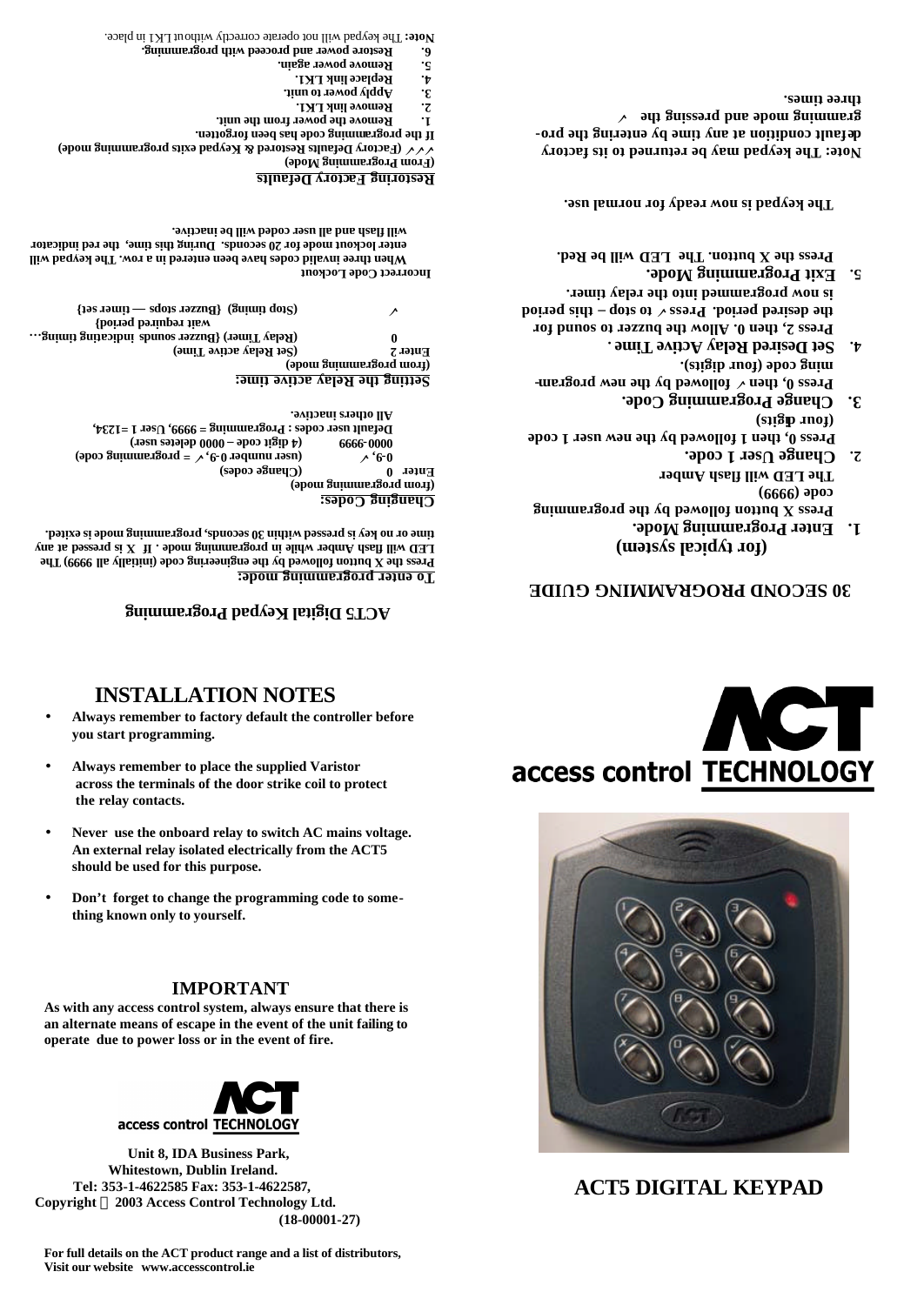## **For full details on the ACT product range and a list of distributors, Visit our website www.accesscontrol.ie**







**IMPORTANT**

**As with any access control system, always ensure that there is** 

- **An external relay isolated electrically from the ACT5 should be used for this purpose.**
- **Don't forget to change the programming code to some-**
- 
- 
- 
- **Never use the onboard relay to switch AC mains voltage.**
- 
- **Always remember to place the supplied Varistor across the terminals of the door strike coil to protect the relay contacts.**

# **INSTALLATION NOTES**

**you start programming.**

**thing known only to yourself.** 

When three invalid codes have been ensity and **will also read in the keypad will** enter lockout mode for 20 seconds. During this time, the red indicator

- **Always remember to factory default the controller before**
- 
- 
- 

Press the X button followed by the engineering code (initially velocity **Property** and  $\mathbf{r}$ **LED will flash Amber while in programming mode . If X is pressed at any**  time or no key si yessed within 30 seconds, programming mode is exited.

 **= programming code)** ¸**, 9- (user number 0** ¸ **9, - 0** 

 **indicating timing… (Relay Timer) {Buzzer sounds 0 wait required period}** 

 **timer set} — (Stop timing) {Buzzer stops** ¸

**ACT5 Digital Keypad Programming** 

 **0000 deletes user) – (4 digit code 9999 - 0000 Default user codes : Programming = 9999, User 1 =1234,** 

## **0 SECOND PROGRAMMING GUIDE 3**

access control TECHNOLOGY

**ACT5 DIGITAL KEYPAD**

## **(for typical system)**

- **Enter Programming Mode. 1. Press X button followed by the programming code (9999) The LED will flash Amber Change User 1 code. 2.**
- **Press 0, then 1 followed by the new user 1 code**
- (siigh *u*oi) **Change Programming Code. 3.**
- **hare by the new promed by the new programming code (four digits). . Set Desired Relay Active Time 4.**
- **Press 2, then 0. Allow the buzzer to sound for**  the desired period. Press  $\vee$  to stop – this period **is now programmed into the relay timer.**
- **Exit Programming Mode. 5.**  Press the X button. The LED will be Red.

**The keypad is now ready for normal use.**

**Note: The keypad may be returned to its factory cordition by the property of any field of the bro-** ¸ **gramming mode and pressing the three times.**

# **ctory Defaults Restoring Fa**

**Remove link LK1. 2.**  $\mathcal{S}$ . Apply power to unit. **keplace link LK1. Remove power again. 5.**

**Incorrect Code Lockout**

**Changing Codes: (from programming mode)**

## **(Factory Defaults Restored & Keypad exits programming mode)** ¸¸¸ **mming code has been forgotten. If the progra**

**Remove the power from the unit. 1.**





**will flash and all user coded will be inactive.**

**Restore power and proceed with programming. 6.** ut LK1 in place. The keypad will not operate correctly witho **Note:** 

**To enter programming mode:**

**(Change codes)**<br>**Enter 0 Change codes** 

**All others inactive.** 

**Setting the Relay active time: (from programming mode)**

Enter 2 (Set Relay active Time)

**(From Programming Mode)**